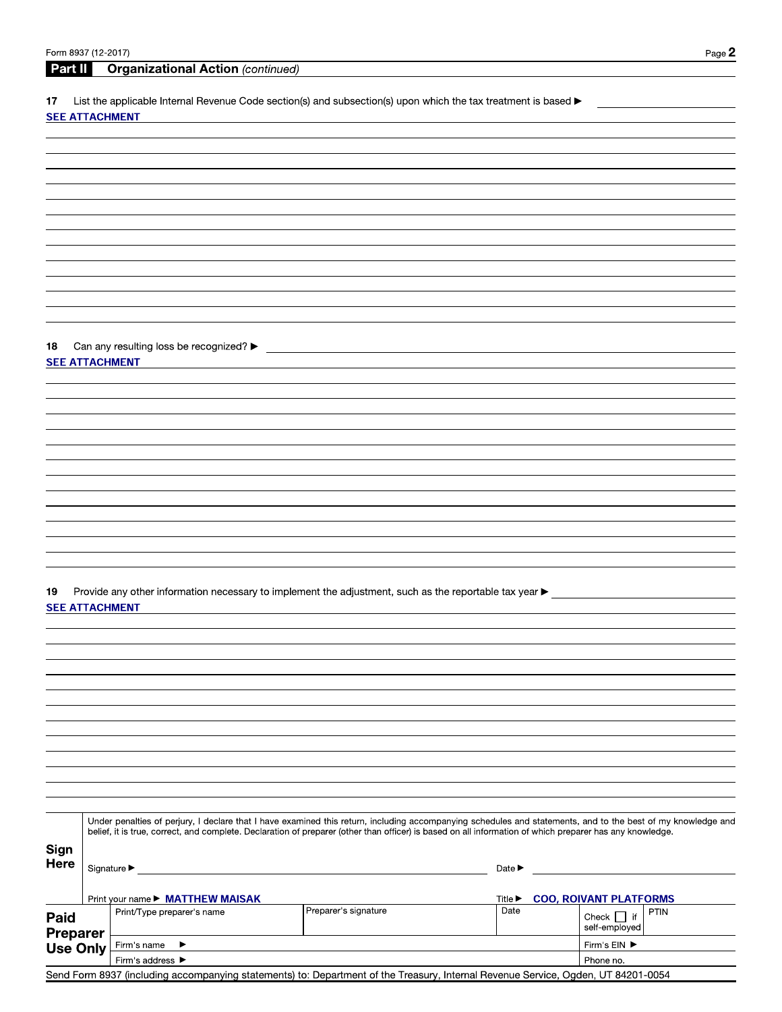Part II **Organizational Action (continued)** 

List the applicable Internal Revenue Code section(s) and subsection(s) upon which the tax treatment is based  $\blacktriangleright$ 17

#### **SEE ATTACHMENT**

| 18                    | Can any resulting loss be recognized? $\blacktriangleright$ |  |  |  |  |
|-----------------------|-------------------------------------------------------------|--|--|--|--|
| <b>SEE ATTACHMENT</b> |                                                             |  |  |  |  |

Provide any other information necessary to implement the adjustment, such as the reportable tax year  $\blacktriangleright$ 19 **SEE ATTACHMENT** 

Under penalties of perjury, I declare that I have examined this return, including accompanying schedules and statements, and to the best of my knowledge and belief, it is true, correct, and complete. Declaration of preparer (other than officer) is based on all information of which preparer has any knowledge. Sign Here  $\vert$   $\sim$  $\overline{\phantom{a}}$  $\overline{\phantom{a}}$  $\overline{a}$ 

| .                       |             | Signature ▶                          |                                                                                                                                   |                             |  |                                         |           |  |
|-------------------------|-------------|--------------------------------------|-----------------------------------------------------------------------------------------------------------------------------------|-----------------------------|--|-----------------------------------------|-----------|--|
|                         |             | Print your name ▶ MATTHEW MAISAK     |                                                                                                                                   | Title $\blacktriangleright$ |  | <b>COO, ROIVANT PLATFORMS</b>           |           |  |
| Paid<br><b>Preparer</b> |             | Print/Type preparer's name           | Preparer's signature                                                                                                              | Date                        |  | i€ l<br>Check $\lceil$<br>self-emploved | PTIN      |  |
| Use Only                | Firm's name |                                      |                                                                                                                                   |                             |  | Firm's $EIN$ $\blacktriangleright$      |           |  |
|                         |             | Firm's address $\blacktriangleright$ |                                                                                                                                   |                             |  |                                         | Phone no. |  |
|                         |             |                                      | Send Form 8937 (including accompanying statements) to: Department of the Treasury, Internal Revenue Service, Ogden, UT 84201-0054 |                             |  |                                         |           |  |
|                         |             |                                      |                                                                                                                                   |                             |  |                                         |           |  |

 $\overline{\phantom{a}}$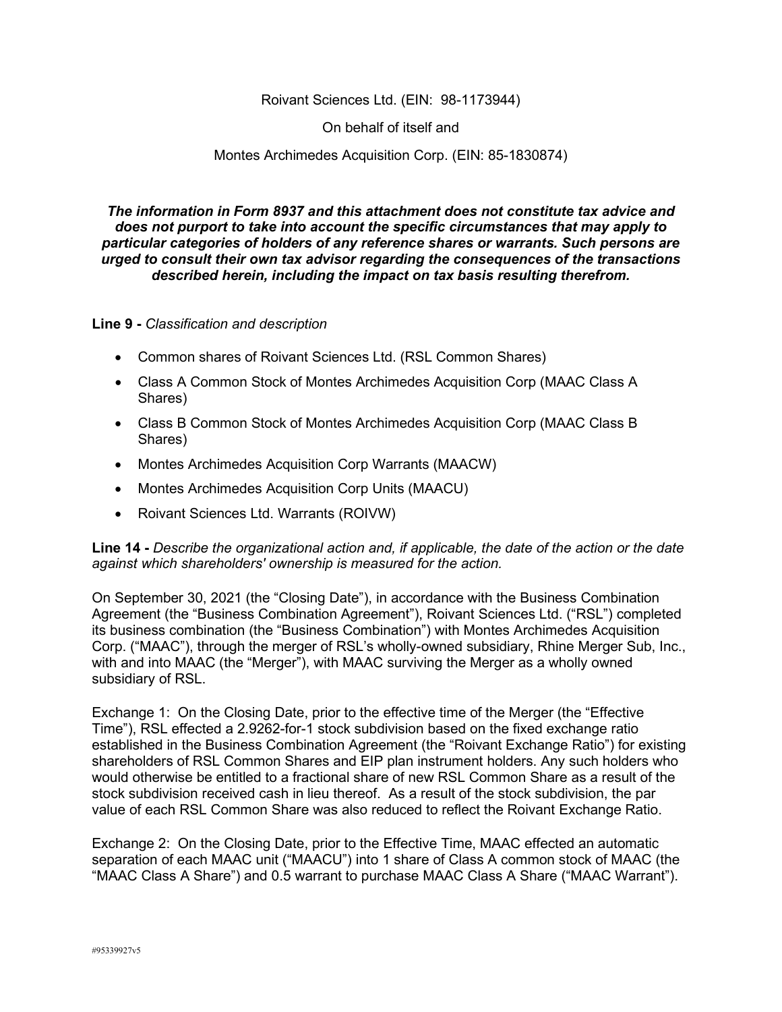## Roivant Sciences Ltd. (EIN: 98-1173944)

On behalf of itself and

### Montes Archimedes Acquisition Corp. (EIN: 85-1830874)

*The information in Form 8937 and this attachment does not constitute tax advice and does not purport to take into account the specific circumstances that may apply to particular categories of holders of any reference shares or warrants. Such persons are urged to consult their own tax advisor regarding the consequences of the transactions described herein, including the impact on tax basis resulting therefrom.*

### **Line 9 -** *Classification and description*

- Common shares of Roivant Sciences Ltd. (RSL Common Shares)
- Class A Common Stock of Montes Archimedes Acquisition Corp (MAAC Class A Shares)
- Class B Common Stock of Montes Archimedes Acquisition Corp (MAAC Class B Shares)
- Montes Archimedes Acquisition Corp Warrants (MAACW)
- Montes Archimedes Acquisition Corp Units (MAACU)
- Roivant Sciences Ltd. Warrants (ROIVW)

## **Line 14 -** *Describe the organizational action and, if applicable, the date of the action or the date against which shareholders' ownership is measured for the action.*

On September 30, 2021 (the "Closing Date"), in accordance with the Business Combination Agreement (the "Business Combination Agreement"), Roivant Sciences Ltd. ("RSL") completed its business combination (the "Business Combination") with Montes Archimedes Acquisition Corp. ("MAAC"), through the merger of RSL's wholly-owned subsidiary, Rhine Merger Sub, Inc., with and into MAAC (the "Merger"), with MAAC surviving the Merger as a wholly owned subsidiary of RSL.

Exchange 1: On the Closing Date, prior to the effective time of the Merger (the "Effective Time"), RSL effected a 2.9262-for-1 stock subdivision based on the fixed exchange ratio established in the Business Combination Agreement (the "Roivant Exchange Ratio") for existing shareholders of RSL Common Shares and EIP plan instrument holders. Any such holders who would otherwise be entitled to a fractional share of new RSL Common Share as a result of the stock subdivision received cash in lieu thereof. As a result of the stock subdivision, the par value of each RSL Common Share was also reduced to reflect the Roivant Exchange Ratio.

Exchange 2: On the Closing Date, prior to the Effective Time, MAAC effected an automatic separation of each MAAC unit ("MAACU") into 1 share of Class A common stock of MAAC (the "MAAC Class A Share") and 0.5 warrant to purchase MAAC Class A Share ("MAAC Warrant").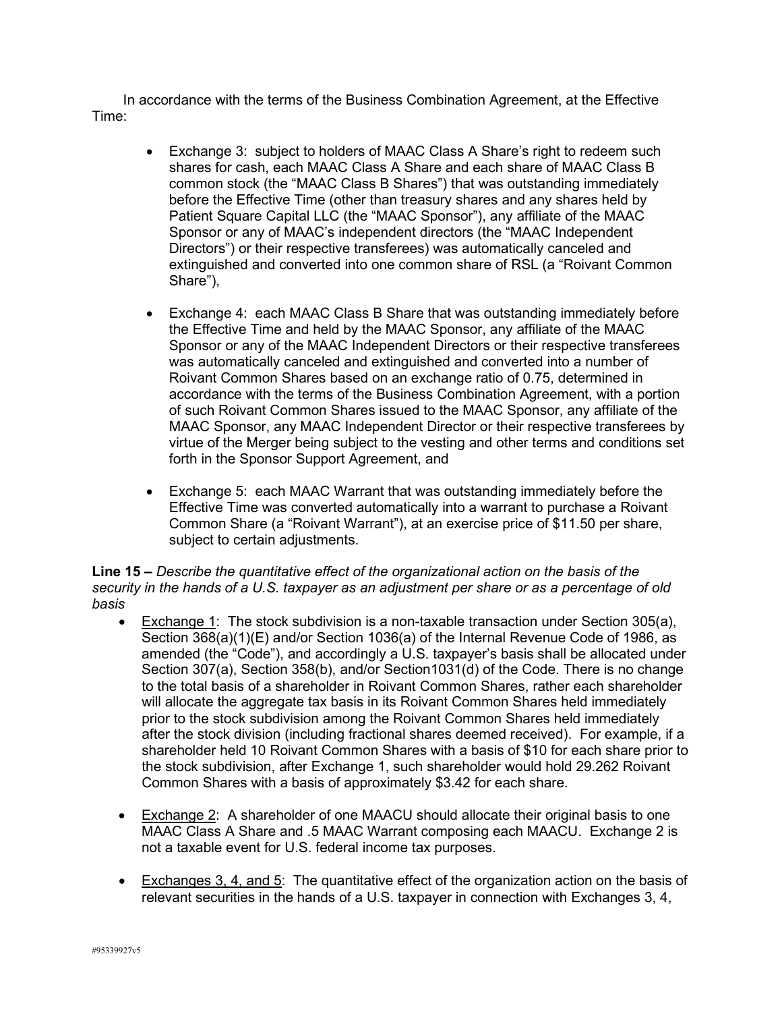In accordance with the terms of the Business Combination Agreement, at the Effective Time:

- Exchange 3: subject to holders of MAAC Class A Share's right to redeem such shares for cash, each MAAC Class A Share and each share of MAAC Class B common stock (the "MAAC Class B Shares") that was outstanding immediately before the Effective Time (other than treasury shares and any shares held by Patient Square Capital LLC (the "MAAC Sponsor"), any affiliate of the MAAC Sponsor or any of MAAC's independent directors (the "MAAC Independent Directors") or their respective transferees) was automatically canceled and extinguished and converted into one common share of RSL (a "Roivant Common Share"),
- Exchange 4: each MAAC Class B Share that was outstanding immediately before the Effective Time and held by the MAAC Sponsor, any affiliate of the MAAC Sponsor or any of the MAAC Independent Directors or their respective transferees was automatically canceled and extinguished and converted into a number of Roivant Common Shares based on an exchange ratio of 0.75, determined in accordance with the terms of the Business Combination Agreement, with a portion of such Roivant Common Shares issued to the MAAC Sponsor, any affiliate of the MAAC Sponsor, any MAAC Independent Director or their respective transferees by virtue of the Merger being subject to the vesting and other terms and conditions set forth in the Sponsor Support Agreement, and
- Exchange 5: each MAAC Warrant that was outstanding immediately before the Effective Time was converted automatically into a warrant to purchase a Roivant Common Share (a "Roivant Warrant"), at an exercise price of \$11.50 per share, subject to certain adjustments.

**Line 15 –** *Describe the quantitative effect of the organizational action on the basis of the security in the hands of a U.S. taxpayer as an adjustment per share or as a percentage of old basis*

- Exchange 1: The stock subdivision is a non-taxable transaction under Section 305(a), Section 368(a)(1)(E) and/or Section 1036(a) of the Internal Revenue Code of 1986, as amended (the "Code"), and accordingly a U.S. taxpayer's basis shall be allocated under Section 307(a), Section 358(b), and/or Section1031(d) of the Code. There is no change to the total basis of a shareholder in Roivant Common Shares, rather each shareholder will allocate the aggregate tax basis in its Roivant Common Shares held immediately prior to the stock subdivision among the Roivant Common Shares held immediately after the stock division (including fractional shares deemed received). For example, if a shareholder held 10 Roivant Common Shares with a basis of \$10 for each share prior to the stock subdivision, after Exchange 1, such shareholder would hold 29.262 Roivant Common Shares with a basis of approximately \$3.42 for each share.
- Exchange 2: A shareholder of one MAACU should allocate their original basis to one MAAC Class A Share and .5 MAAC Warrant composing each MAACU. Exchange 2 is not a taxable event for U.S. federal income tax purposes.
- Exchanges 3, 4, and 5: The quantitative effect of the organization action on the basis of relevant securities in the hands of a U.S. taxpayer in connection with Exchanges 3, 4,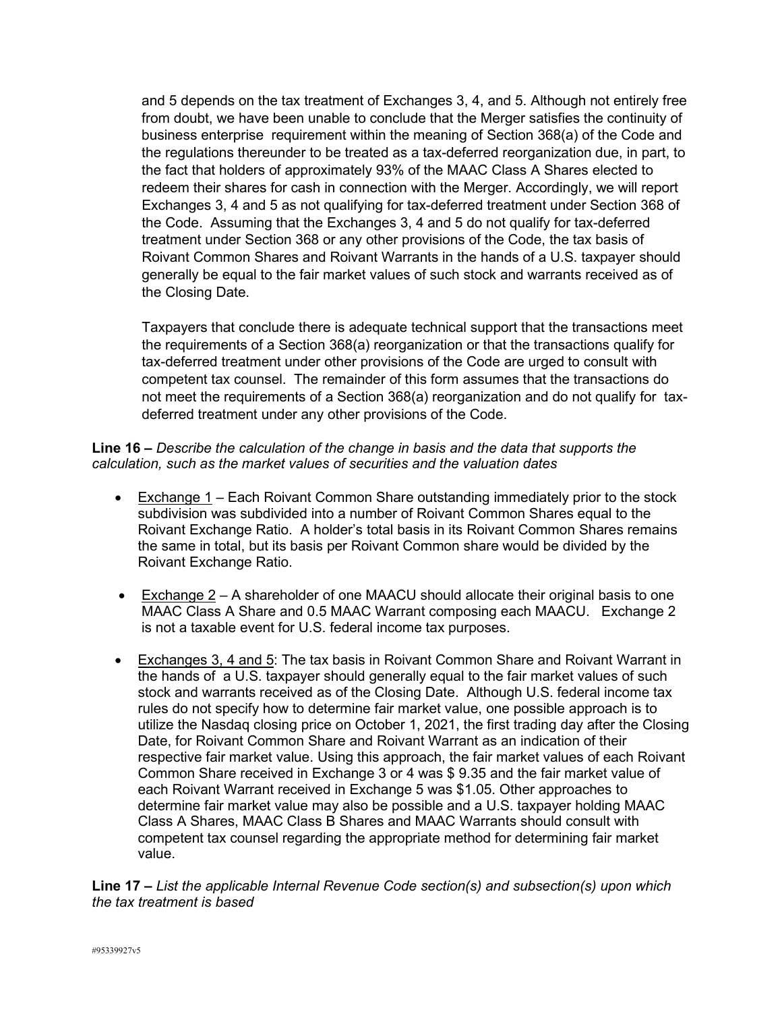and 5 depends on the tax treatment of Exchanges 3, 4, and 5. Although not entirely free from doubt, we have been unable to conclude that the Merger satisfies the continuity of business enterprise requirement within the meaning of Section 368(a) of the Code and the regulations thereunder to be treated as a tax-deferred reorganization due, in part, to the fact that holders of approximately 93% of the MAAC Class A Shares elected to redeem their shares for cash in connection with the Merger. Accordingly, we will report Exchanges 3, 4 and 5 as not qualifying for tax-deferred treatment under Section 368 of the Code. Assuming that the Exchanges 3, 4 and 5 do not qualify for tax-deferred treatment under Section 368 or any other provisions of the Code, the tax basis of Roivant Common Shares and Roivant Warrants in the hands of a U.S. taxpayer should generally be equal to the fair market values of such stock and warrants received as of the Closing Date.

Taxpayers that conclude there is adequate technical support that the transactions meet the requirements of a Section 368(a) reorganization or that the transactions qualify for tax-deferred treatment under other provisions of the Code are urged to consult with competent tax counsel. The remainder of this form assumes that the transactions do not meet the requirements of a Section 368(a) reorganization and do not qualify for taxdeferred treatment under any other provisions of the Code.

**Line 16 –** *Describe the calculation of the change in basis and the data that supports the calculation, such as the market values of securities and the valuation dates*

- Exchange 1 Each Roivant Common Share outstanding immediately prior to the stock subdivision was subdivided into a number of Roivant Common Shares equal to the Roivant Exchange Ratio. A holder's total basis in its Roivant Common Shares remains the same in total, but its basis per Roivant Common share would be divided by the Roivant Exchange Ratio.
- Exchange  $2 A$  shareholder of one MAACU should allocate their original basis to one MAAC Class A Share and 0.5 MAAC Warrant composing each MAACU. Exchange 2 is not a taxable event for U.S. federal income tax purposes.
- Exchanges 3, 4 and 5: The tax basis in Roivant Common Share and Roivant Warrant in the hands of a U.S. taxpayer should generally equal to the fair market values of such stock and warrants received as of the Closing Date. Although U.S. federal income tax rules do not specify how to determine fair market value, one possible approach is to utilize the Nasdaq closing price on October 1, 2021, the first trading day after the Closing Date, for Roivant Common Share and Roivant Warrant as an indication of their respective fair market value. Using this approach, the fair market values of each Roivant Common Share received in Exchange 3 or 4 was \$ 9.35 and the fair market value of each Roivant Warrant received in Exchange 5 was \$1.05. Other approaches to determine fair market value may also be possible and a U.S. taxpayer holding MAAC Class A Shares, MAAC Class B Shares and MAAC Warrants should consult with competent tax counsel regarding the appropriate method for determining fair market value.

**Line 17** *– List the applicable Internal Revenue Code section(s) and subsection(s) upon which the tax treatment is based*